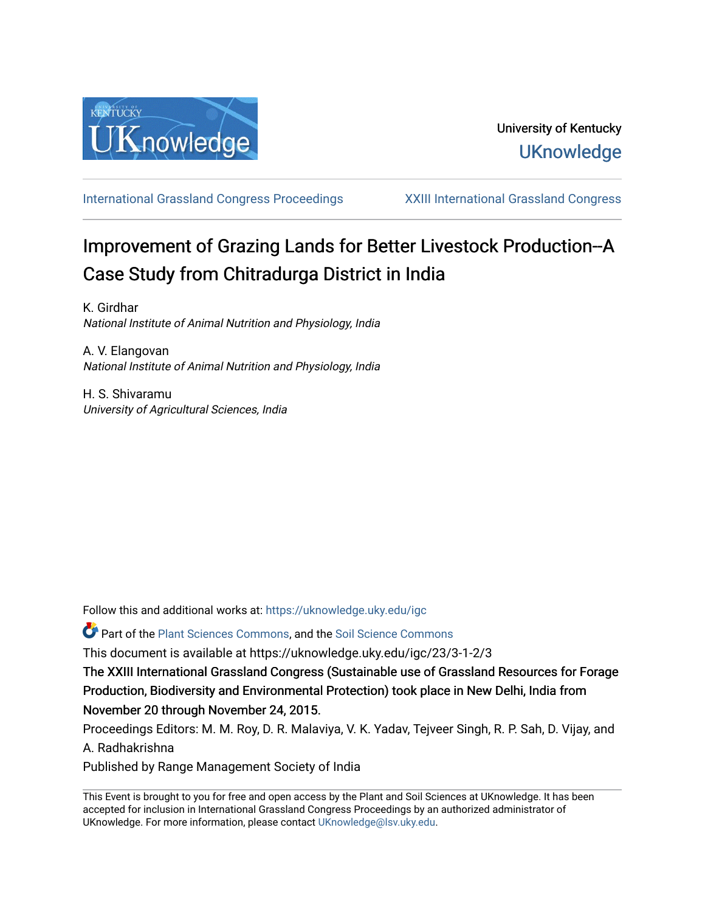

[International Grassland Congress Proceedings](https://uknowledge.uky.edu/igc) [XXIII International Grassland Congress](https://uknowledge.uky.edu/igc/23) 

# Improvement of Grazing Lands for Better Livestock Production--A Case Study from Chitradurga District in India

K. Girdhar National Institute of Animal Nutrition and Physiology, India

A. V. Elangovan National Institute of Animal Nutrition and Physiology, India

H. S. Shivaramu University of Agricultural Sciences, India

Follow this and additional works at: [https://uknowledge.uky.edu/igc](https://uknowledge.uky.edu/igc?utm_source=uknowledge.uky.edu%2Figc%2F23%2F3-1-2%2F3&utm_medium=PDF&utm_campaign=PDFCoverPages) 

Part of the [Plant Sciences Commons](http://network.bepress.com/hgg/discipline/102?utm_source=uknowledge.uky.edu%2Figc%2F23%2F3-1-2%2F3&utm_medium=PDF&utm_campaign=PDFCoverPages), and the [Soil Science Commons](http://network.bepress.com/hgg/discipline/163?utm_source=uknowledge.uky.edu%2Figc%2F23%2F3-1-2%2F3&utm_medium=PDF&utm_campaign=PDFCoverPages) 

This document is available at https://uknowledge.uky.edu/igc/23/3-1-2/3

The XXIII International Grassland Congress (Sustainable use of Grassland Resources for Forage Production, Biodiversity and Environmental Protection) took place in New Delhi, India from November 20 through November 24, 2015.

Proceedings Editors: M. M. Roy, D. R. Malaviya, V. K. Yadav, Tejveer Singh, R. P. Sah, D. Vijay, and A. Radhakrishna

Published by Range Management Society of India

This Event is brought to you for free and open access by the Plant and Soil Sciences at UKnowledge. It has been accepted for inclusion in International Grassland Congress Proceedings by an authorized administrator of UKnowledge. For more information, please contact [UKnowledge@lsv.uky.edu](mailto:UKnowledge@lsv.uky.edu).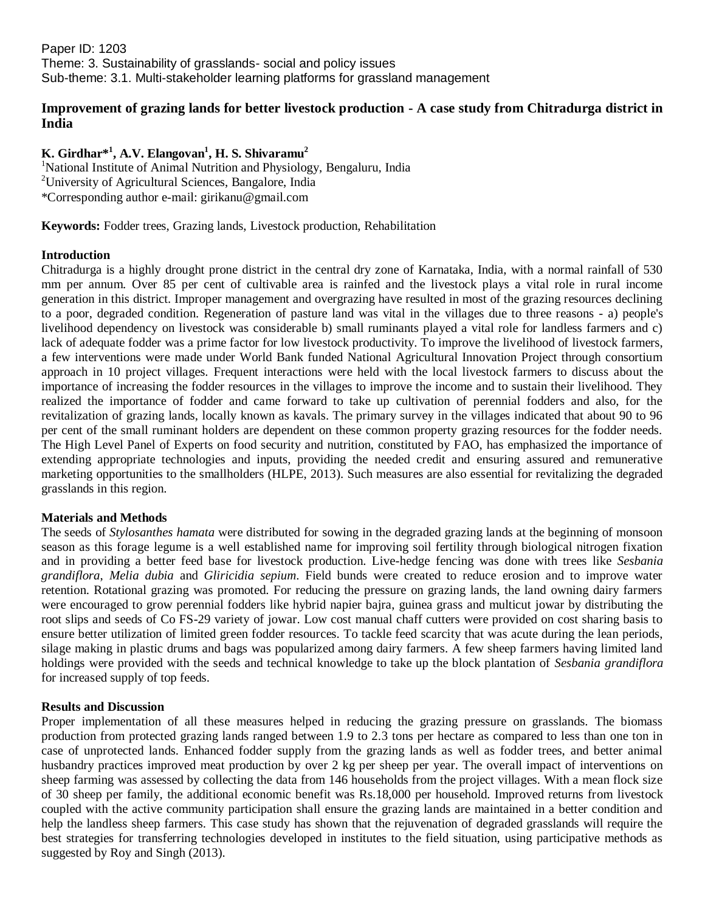Paper ID: 1203 Theme: 3. Sustainability of grasslands- social and policy issues Sub-theme: 3.1. Multi-stakeholder learning platforms for grassland management

## **Improvement of grazing lands for better livestock production - A case study from Chitradurga district in India**

## **K. Girdhar\* 1 , A.V. Elangovan<sup>1</sup> , H. S. Shivaramu<sup>2</sup>**

<sup>1</sup>National Institute of Animal Nutrition and Physiology, Bengaluru, India <sup>2</sup>University of Agricultural Sciences, Bangalore, India \*Corresponding author e-mail: girikanu@gmail.com

**Keywords:** Fodder trees, Grazing lands, Livestock production, Rehabilitation

### **Introduction**

Chitradurga is a highly drought prone district in the central dry zone of Karnataka, India, with a normal rainfall of 530 mm per annum. Over 85 per cent of cultivable area is rainfed and the livestock plays a vital role in rural income generation in this district. Improper management and overgrazing have resulted in most of the grazing resources declining to a poor, degraded condition. Regeneration of pasture land was vital in the villages due to three reasons - a) people's livelihood dependency on livestock was considerable b) small ruminants played a vital role for landless farmers and c) lack of adequate fodder was a prime factor for low livestock productivity. To improve the livelihood of livestock farmers, a few interventions were made under World Bank funded National Agricultural Innovation Project through consortium approach in 10 project villages. Frequent interactions were held with the local livestock farmers to discuss about the importance of increasing the fodder resources in the villages to improve the income and to sustain their livelihood. They realized the importance of fodder and came forward to take up cultivation of perennial fodders and also, for the revitalization of grazing lands, locally known as kavals. The primary survey in the villages indicated that about 90 to 96 per cent of the small ruminant holders are dependent on these common property grazing resources for the fodder needs. The High Level Panel of Experts on food security and nutrition, constituted by FAO, has emphasized the importance of extending appropriate technologies and inputs, providing the needed credit and ensuring assured and remunerative marketing opportunities to the smallholders (HLPE, 2013). Such measures are also essential for revitalizing the degraded grasslands in this region.

#### **Materials and Methods**

The seeds of *Stylosanthes hamata* were distributed for sowing in the degraded grazing lands at the beginning of monsoon season as this forage legume is a well established name for improving soil fertility through biological nitrogen fixation and in providing a better feed base for livestock production. Live-hedge fencing was done with trees like *Sesbania grandiflora*, *Melia dubia* and *Gliricidia sepium*. Field bunds were created to reduce erosion and to improve water retention. Rotational grazing was promoted. For reducing the pressure on grazing lands, the land owning dairy farmers were encouraged to grow perennial fodders like hybrid napier bajra, guinea grass and multicut jowar by distributing the root slips and seeds of Co FS-29 variety of jowar. Low cost manual chaff cutters were provided on cost sharing basis to ensure better utilization of limited green fodder resources. To tackle feed scarcity that was acute during the lean periods, silage making in plastic drums and bags was popularized among dairy farmers. A few sheep farmers having limited land holdings were provided with the seeds and technical knowledge to take up the block plantation of *Sesbania grandiflora* for increased supply of top feeds.

#### **Results and Discussion**

Proper implementation of all these measures helped in reducing the grazing pressure on grasslands. The biomass production from protected grazing lands ranged between 1.9 to 2.3 tons per hectare as compared to less than one ton in case of unprotected lands. Enhanced fodder supply from the grazing lands as well as fodder trees, and better animal husbandry practices improved meat production by over 2 kg per sheep per year. The overall impact of interventions on sheep farming was assessed by collecting the data from 146 households from the project villages. With a mean flock size of 30 sheep per family, the additional economic benefit was Rs.18,000 per household. Improved returns from livestock coupled with the active community participation shall ensure the grazing lands are maintained in a better condition and help the landless sheep farmers. This case study has shown that the rejuvenation of degraded grasslands will require the best strategies for transferring technologies developed in institutes to the field situation, using participative methods as suggested by Roy and Singh (2013).